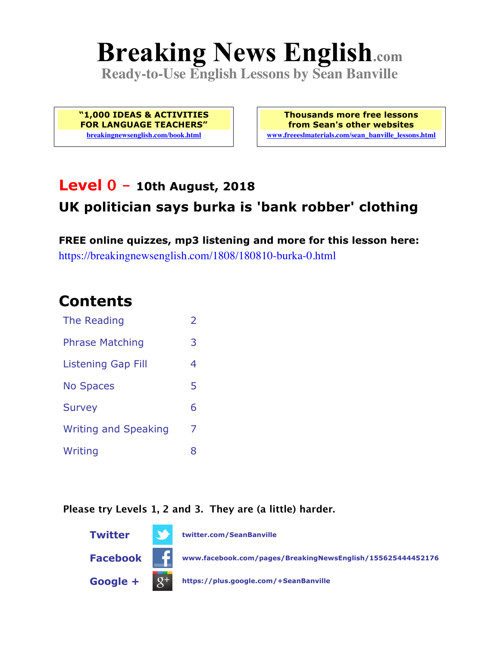# **Breaking News English.com**

**Ready-to-Use English Lessons by Sean Banville**

**"1,000 IDEAS & ACTIVITIES FOR LANGUAGE TEACHERS" breakingnewsenglish.com/book.html**

**Thousands more free lessons from Sean's other websites www.freeeslmaterials.com/sean\_banville\_lessons.html**

#### **Level 0 - 10th August, 2018 UK politician says burka is 'bank robber' clothing**

**FREE online quizzes, mp3 listening and more for this lesson here:** https://breakingnewsenglish.com/1808/180810-burka-0.html

#### **Contents**

| The Reading                 | $\overline{\phantom{a}}$ |
|-----------------------------|--------------------------|
| <b>Phrase Matching</b>      | 3                        |
| <b>Listening Gap Fill</b>   | 4                        |
| <b>No Spaces</b>            | 5                        |
| <b>Survey</b>               | 6                        |
| <b>Writing and Speaking</b> | 7                        |
| Writing                     | 8                        |

**Please try Levels 1, 2 and 3. They are (a little) harder.**

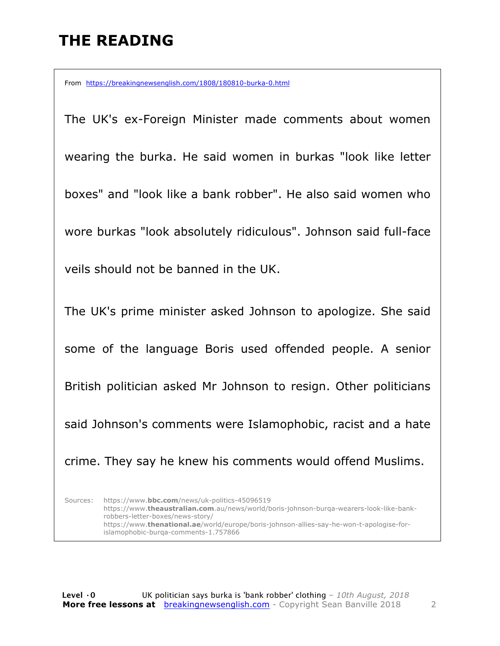## **THE READING**

From https://breakingnewsenglish.com/1808/180810-burka-0.html

The UK's ex-Foreign Minister made comments about women wearing the burka. He said women in burkas "look like letter boxes" and "look like a bank robber". He also said women who wore burkas "look absolutely ridiculous". Johnson said full-face veils should not be banned in the UK. The UK's prime minister asked Johnson to apologize. She said some of the language Boris used offended people. A senior British politician asked Mr Johnson to resign. Other politicians said Johnson's comments were Islamophobic, racist and a hate crime. They say he knew his comments would offend Muslims.

Sources: https://www.**bbc.com**/news/uk-politics-45096519 https://www.**theaustralian.com**.au/news/world/boris-johnson-burqa-wearers-look-like-bankrobbers-letter-boxes/news-story/ https://www.**thenational.ae**/world/europe/boris-johnson-allies-say-he-won-t-apologise-forislamophobic-burqa-comments-1.757866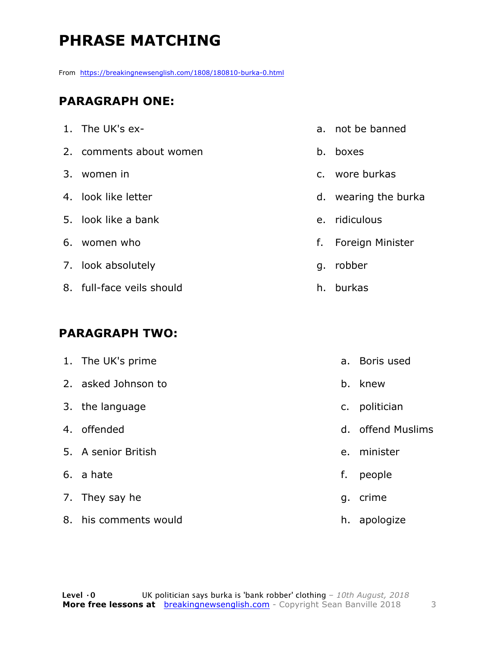# **PHRASE MATCHING**

From https://breakingnewsenglish.com/1808/180810-burka-0.html

#### **PARAGRAPH ONE:**

| 1. The UK's ex-           |    | a. not be banned     |
|---------------------------|----|----------------------|
| 2. comments about women   |    | b. boxes             |
| 3. women in               |    | c. wore burkas       |
| 4. look like letter       |    | d. wearing the burka |
| 5. look like a bank       |    | e. ridiculous        |
| 6. women who              |    | f. Foreign Minister  |
| 7. look absolutely        | g. | robber               |
| 8. full-face veils should |    | h. burkas            |
|                           |    |                      |

#### **PARAGRAPH TWO:**

| 1. The UK's prime     | $a_{-}$       | Boris used        |
|-----------------------|---------------|-------------------|
| 2. asked Johnson to   |               | b. knew           |
| 3. the language       | $C_{\bullet}$ | politician        |
| 4. offended           |               | d. offend Muslims |
| 5. A senior British   |               | e. minister       |
| 6. a hate             | f.            | people            |
| 7. They say he        | g.            | crime             |
| 8. his comments would | h.            | apologize         |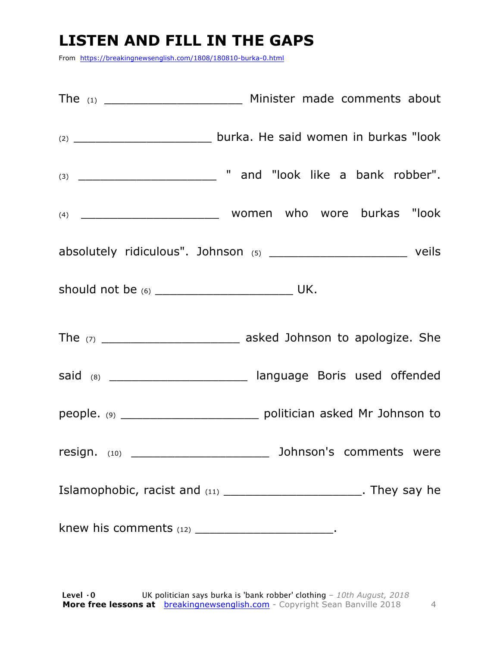#### **LISTEN AND FILL IN THE GAPS**

From https://breakingnewsenglish.com/1808/180810-burka-0.html

|                                                      | absolutely ridiculous". Johnson (5) _________________________________ veils   |
|------------------------------------------------------|-------------------------------------------------------------------------------|
|                                                      |                                                                               |
|                                                      |                                                                               |
|                                                      | said (8) __________________________ language Boris used offended              |
|                                                      | people. (9) __________________________________ politician asked Mr Johnson to |
| resign. (10) _____                                   | Johnson's comments were                                                       |
|                                                      | Islamophobic, racist and (11) _________________________. They say he          |
| knew his comments $(12)$ __________________________. |                                                                               |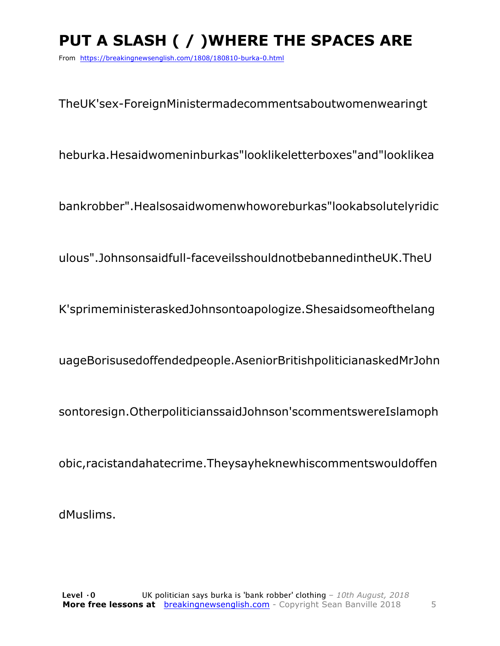# **PUT A SLASH ( / )WHERE THE SPACES ARE**

From https://breakingnewsenglish.com/1808/180810-burka-0.html

TheUK'sex-ForeignMinistermadecommentsaboutwomenwearingt

heburka.Hesaidwomeninburkas"looklikeletterboxes"and"looklikea

bankrobber".Healsosaidwomenwhoworeburkas"lookabsolutelyridic

ulous".Johnsonsaidfull-faceveilsshouldnotbebannedintheUK.TheU

K'sprimeministeraskedJohnsontoapologize.Shesaidsomeofthelang

uageBorisusedoffendedpeople.AseniorBritishpoliticianaskedMrJohn

sontoresign.OtherpoliticianssaidJohnson'scommentswereIslamoph

obic,racistandahatecrime.Theysayheknewhiscommentswouldoffen

dMuslims.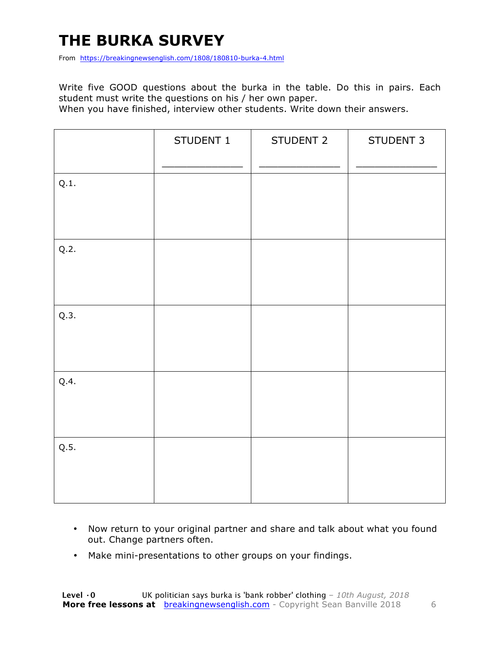## **THE BURKA SURVEY**

From https://breakingnewsenglish.com/1808/180810-burka-4.html

Write five GOOD questions about the burka in the table. Do this in pairs. Each student must write the questions on his / her own paper.

When you have finished, interview other students. Write down their answers.

|      | STUDENT 1 | STUDENT 2 | STUDENT 3 |
|------|-----------|-----------|-----------|
| Q.1. |           |           |           |
| Q.2. |           |           |           |
| Q.3. |           |           |           |
| Q.4. |           |           |           |
| Q.5. |           |           |           |

- Now return to your original partner and share and talk about what you found out. Change partners often.
- Make mini-presentations to other groups on your findings.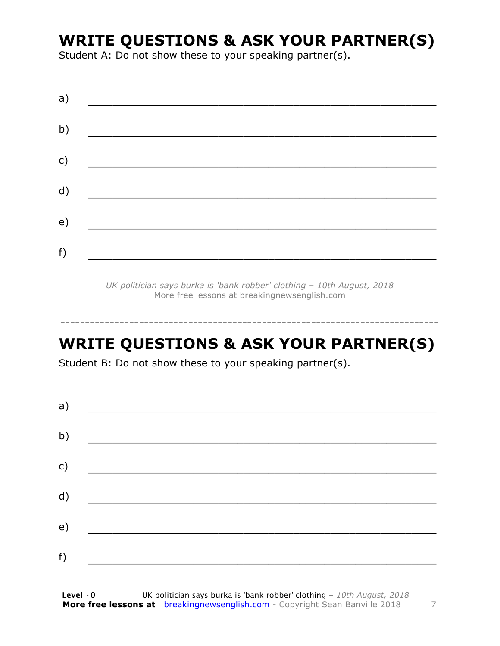#### **WRITE QUESTIONS & ASK YOUR PARTNER(S)**

Student A: Do not show these to your speaking partner(s).

| a) |  |  |  |
|----|--|--|--|
| b) |  |  |  |
| c) |  |  |  |
| d) |  |  |  |
| e) |  |  |  |
| f) |  |  |  |
|    |  |  |  |

*UK politician says burka is 'bank robber' clothing – 10th August, 2018* More free lessons at breakingnewsenglish.com

## **WRITE QUESTIONS & ASK YOUR PARTNER(S)**

-----------------------------------------------------------------------------

Student B: Do not show these to your speaking partner(s).

| a) |  |  |
|----|--|--|
| b) |  |  |
| c) |  |  |
| d) |  |  |
| e) |  |  |
| f) |  |  |
|    |  |  |

**Level ·0** UK politician says burka is 'bank robber' clothing *– 10th August, 2018* **More free lessons at** breakingnewsenglish.com - Copyright Sean Banville 2018 7